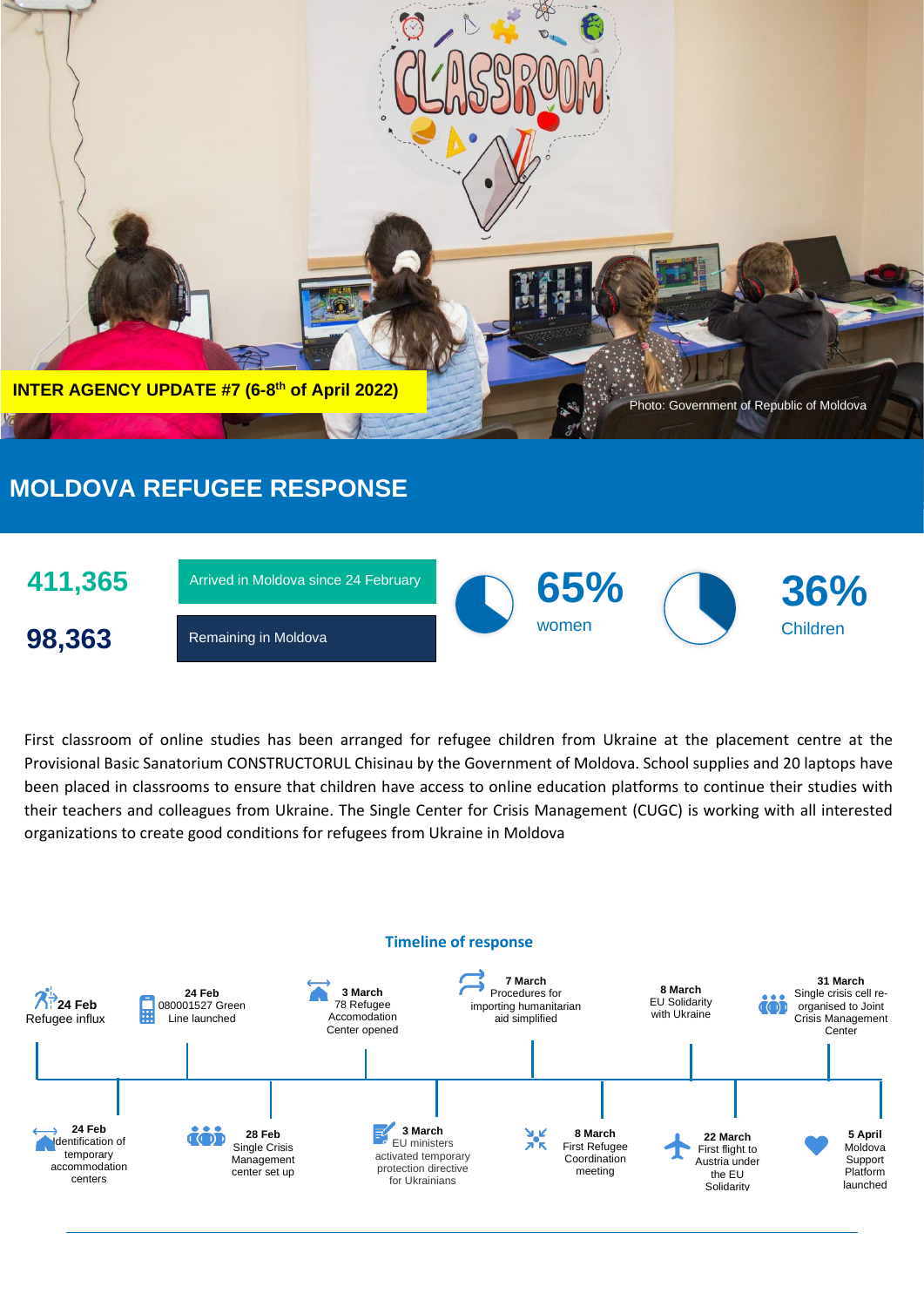

# **MOLDOVA REFUGEE RESPONSE**



First classroom of online studies has been arranged for refugee children from Ukraine at the placement centre at the Provisional Basic Sanatorium CONSTRUCTORUL Chisinau by the Government of Moldova. School supplies and 20 laptops have been placed in classrooms to ensure that children have access to online education platforms to continue their studies with their teachers and colleagues from Ukraine. The Single Center for Crisis Management (CUGC) is working with all interested organizations to create good conditions for refugees from Ukraine in Moldova

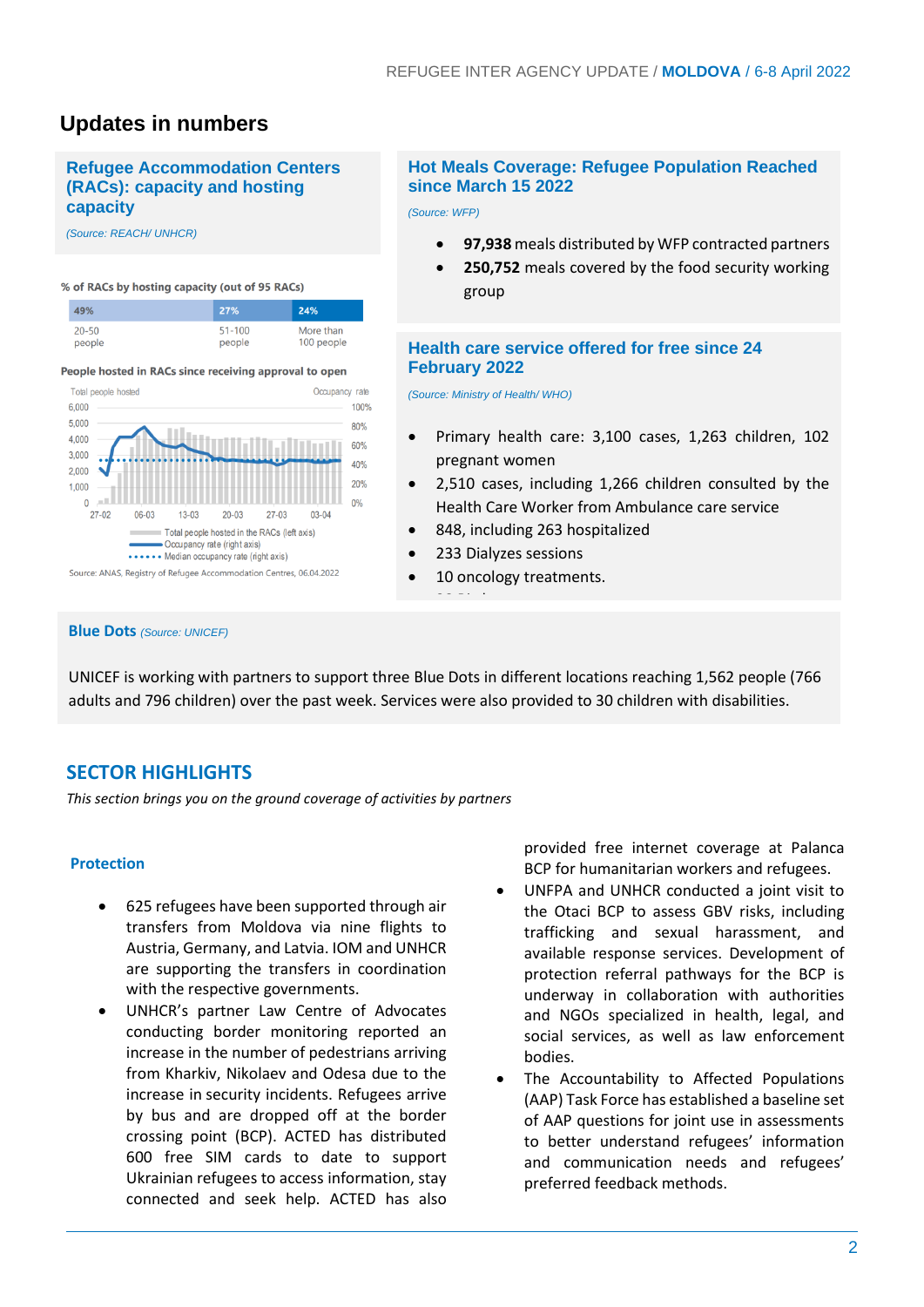# **Updates in numbers**

### **Refugee Accommodation Centers (RACs): capacity and hosting capacity**

*(Source: REACH/ UNHCR)*

#### % of RACs by hosting capacity (out of 95 RACs)



#### People hosted in RACs since receiving approval to open



#### **Blue Dots** *(Source: UNICEF)*

# **Hot Meals Coverage: Refugee Population Reached since March 15 2022**

*(Source: WFP)*

- **97,938** meals distributed by WFP contracted partners
- **250,752** meals covered by the food security working group

### **Health care service offered for free since 24 February 2022**

*(Source: Ministry of Health/ WHO)*

- Primary health care: 3,100 cases, 1,263 children, 102 pregnant women
- 2,510 cases, including 1,266 children consulted by the Health Care Worker from Ambulance care service
- 848, including 263 hospitalized
- 233 Dialyzes sessions
- 10 oncology treatments.
- 38 Births

UNICEF is working with partners to support three Blue Dots in different locations reaching 1,562 people (766 adults and 796 children) over the past week. Services were also provided to 30 children with disabilities.

# **SECTOR HIGHLIGHTS**

*This section brings you on the ground coverage of activities by partners*

#### **Protection**

- 625 refugees have been supported through air transfers from Moldova via nine flights to Austria, Germany, and Latvia. IOM and UNHCR are supporting the transfers in coordination with the respective governments.
- UNHCR's partner Law Centre of Advocates conducting border monitoring reported an increase in the number of pedestrians arriving from Kharkiv, Nikolaev and Odesa due to the increase in security incidents. Refugees arrive by bus and are dropped off at the border crossing point (BCP). ACTED has distributed 600 free SIM cards to date to support Ukrainian refugees to access information, stay connected and seek help. ACTED has also

provided free internet coverage at Palanca BCP for humanitarian workers and refugees.

- UNFPA and UNHCR conducted a joint visit to the Otaci BCP to assess GBV risks, including trafficking and sexual harassment, and available response services. Development of protection referral pathways for the BCP is underway in collaboration with authorities and NGOs specialized in health, legal, and social services, as well as law enforcement bodies.
- The Accountability to Affected Populations (AAP) Task Force has established a baseline set of AAP questions for joint use in assessments to better understand refugees' information and communication needs and refugees' preferred feedback methods.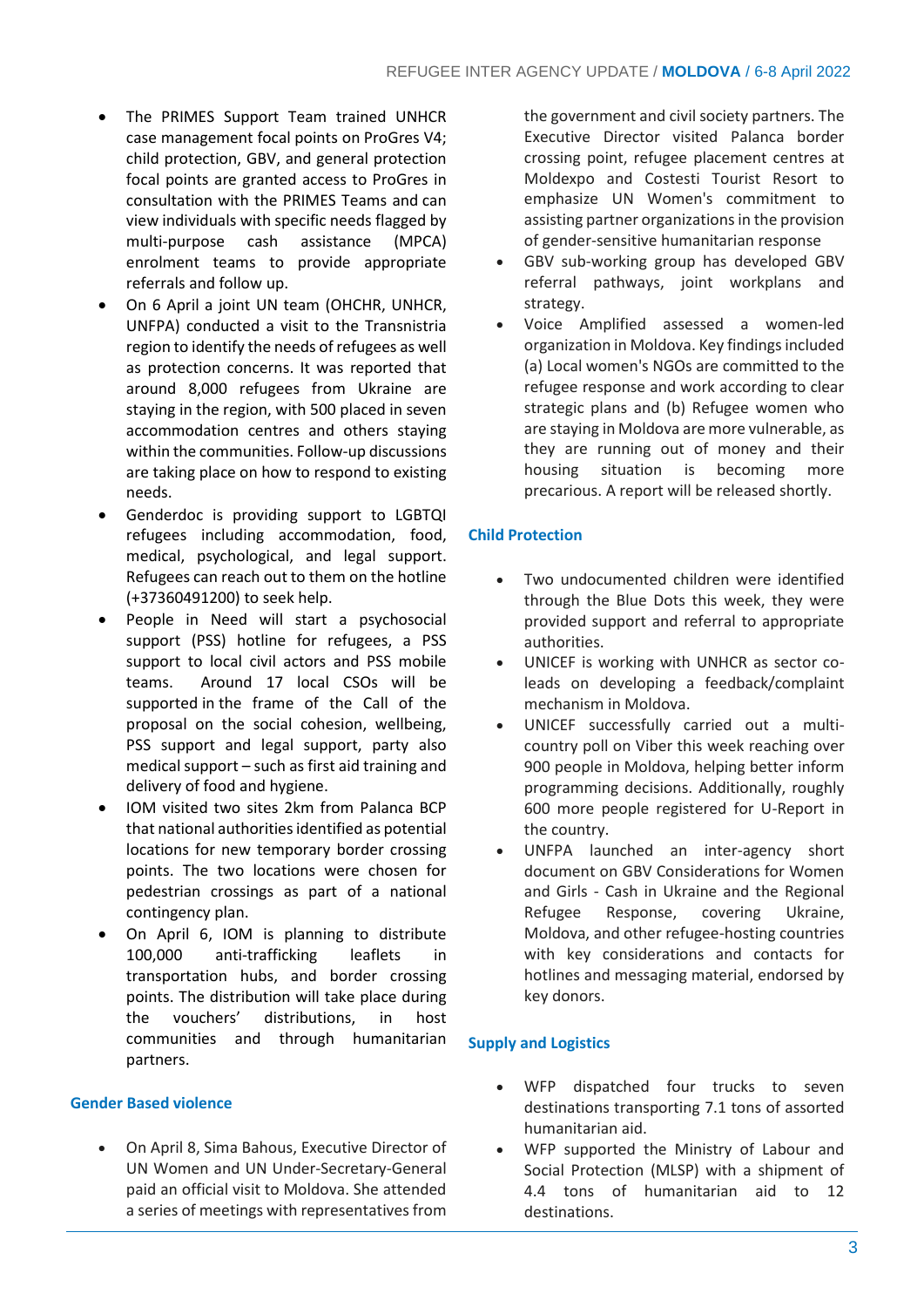- The PRIMES Support Team trained UNHCR case management focal points on ProGres V4; child protection, GBV, and general protection focal points are granted access to ProGres in consultation with the PRIMES Teams and can view individuals with specific needs flagged by multi-purpose cash assistance (MPCA) enrolment teams to provide appropriate referrals and follow up.
- On 6 April a joint UN team (OHCHR, UNHCR, UNFPA) conducted a visit to the Transnistria region to identify the needs of refugees as well as protection concerns. It was reported that around 8,000 refugees from Ukraine are staying in the region, with 500 placed in seven accommodation centres and others staying within the communities. Follow-up discussions are taking place on how to respond to existing needs.
- Genderdoc is providing support to LGBTQI refugees including accommodation, food, medical, psychological, and legal support. Refugees can reach out to them on the hotline (+37360491200) to seek help.
- People in Need will start a psychosocial support (PSS) hotline for refugees, a PSS support to local civil actors and PSS mobile teams. Around 17 local CSOs will be supported in the frame of the Call of the proposal on the social cohesion, wellbeing, PSS support and legal support, party also medical support – such as first aid training and delivery of food and hygiene.
- IOM visited two sites 2km from Palanca BCP that national authorities identified as potential locations for new temporary border crossing points. The two locations were chosen for pedestrian crossings as part of a national contingency plan.
- On April 6, IOM is planning to distribute 100,000 anti-trafficking leaflets in transportation hubs, and border crossing points. The distribution will take place during the vouchers' distributions, in host communities and through humanitarian partners.

### **Gender Based violence**

• On April 8, Sima Bahous, Executive Director of UN Women and UN Under-Secretary-General paid an official visit to Moldova. She attended a series of meetings with representatives from

the government and civil society partners. The Executive Director visited Palanca border crossing point, refugee placement centres at Moldexpo and Costesti Tourist Resort to emphasize UN Women's commitment to assisting partner organizations in the provision of gender-sensitive humanitarian response

- GBV sub-working group has developed GBV referral pathways, joint workplans and strategy.
- Voice Amplified assessed a women-led organization in Moldova. Key findings included (a) Local women's NGOs are committed to the refugee response and work according to clear strategic plans and (b) Refugee women who are staying in Moldova are more vulnerable, as they are running out of money and their housing situation is becoming more precarious. A report will be released shortly.

# **Child Protection**

- Two undocumented children were identified through the Blue Dots this week, they were provided support and referral to appropriate authorities.
- UNICEF is working with UNHCR as sector coleads on developing a feedback/complaint mechanism in Moldova.
- UNICEF successfully carried out a multicountry poll on Viber this week reaching over 900 people in Moldova, helping better inform programming decisions. Additionally, roughly 600 more people registered for U-Report in the country.
- UNFPA launched an inter-agency short document on GBV Considerations for Women and Girls - Cash in Ukraine and the Regional Refugee Response, covering Ukraine, Moldova, and other refugee-hosting countries with key considerations and contacts for hotlines and messaging material, endorsed by key donors.

# **Supply and Logistics**

- WFP dispatched four trucks to seven destinations transporting 7.1 tons of assorted humanitarian aid.
- WFP supported the Ministry of Labour and Social Protection (MLSP) with a shipment of 4.4 tons of humanitarian aid to 12 destinations.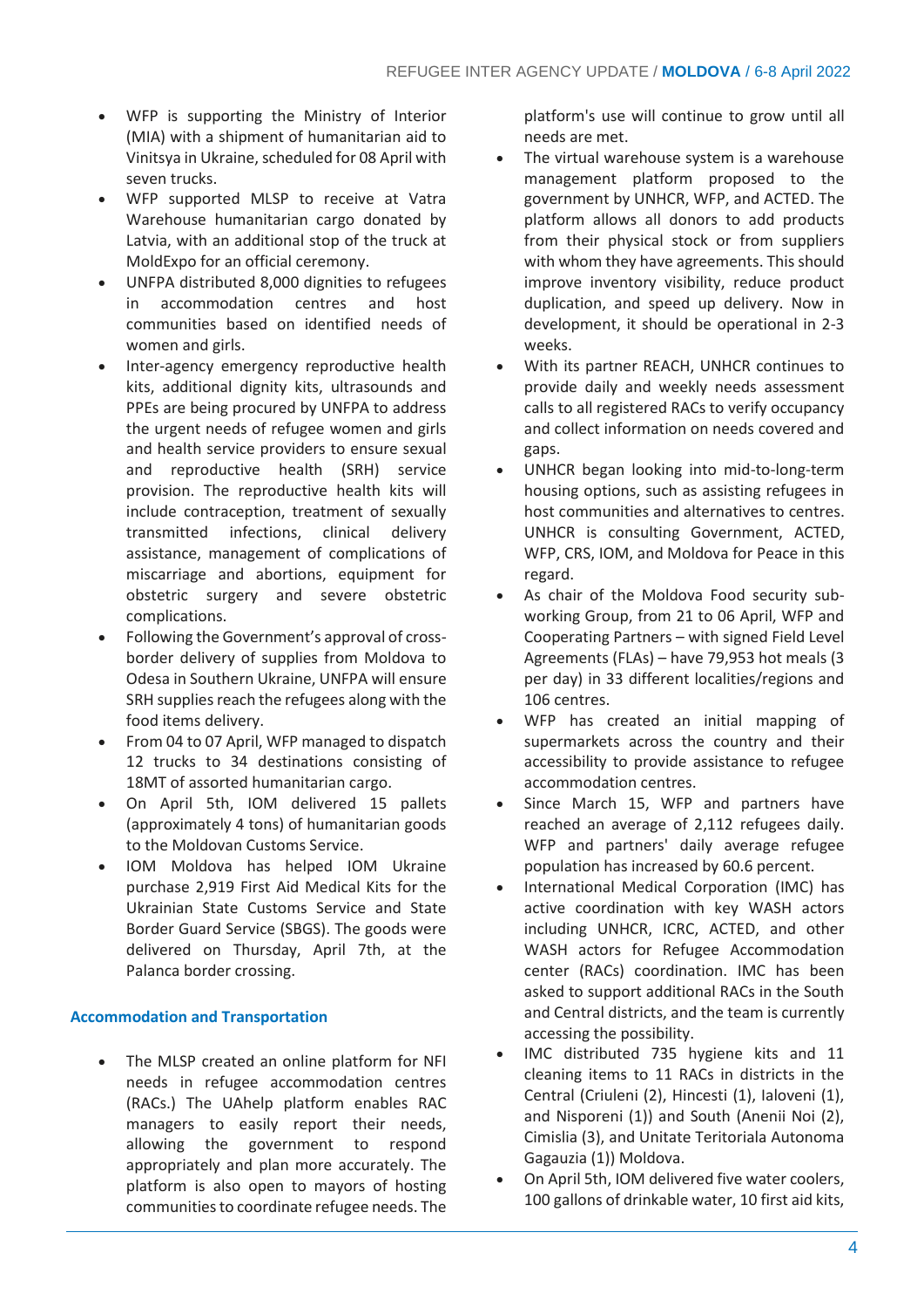- WFP is supporting the Ministry of Interior (MIA) with a shipment of humanitarian aid to Vinitsya in Ukraine, scheduled for 08 April with seven trucks.
- WFP supported MLSP to receive at Vatra Warehouse humanitarian cargo donated by Latvia, with an additional stop of the truck at MoldExpo for an official ceremony.
- UNFPA distributed 8,000 dignities to refugees in accommodation centres and host communities based on identified needs of women and girls.
- Inter-agency emergency reproductive health kits, additional dignity kits, ultrasounds and PPEs are being procured by UNFPA to address the urgent needs of refugee women and girls and health service providers to ensure sexual and reproductive health (SRH) service provision. The reproductive health kits will include contraception, treatment of sexually transmitted infections, clinical delivery assistance, management of complications of miscarriage and abortions, equipment for obstetric surgery and severe obstetric complications.
- Following the Government's approval of crossborder delivery of supplies from Moldova to Odesa in Southern Ukraine, UNFPA will ensure SRH supplies reach the refugees along with the food items delivery.
- From 04 to 07 April, WFP managed to dispatch 12 trucks to 34 destinations consisting of 18MT of assorted humanitarian cargo.
- On April 5th, IOM delivered 15 pallets (approximately 4 tons) of humanitarian goods to the Moldovan Customs Service.
- IOM Moldova has helped IOM Ukraine purchase 2,919 First Aid Medical Kits for the Ukrainian State Customs Service and State Border Guard Service (SBGS). The goods were delivered on Thursday, April 7th, at the Palanca border crossing.

# **Accommodation and Transportation**

The MLSP created an online platform for NFI needs in refugee accommodation centres (RACs.) The UAhelp platform enables RAC managers to easily report their needs, allowing the government to respond appropriately and plan more accurately. The platform is also open to mayors of hosting communities to coordinate refugee needs. The

platform's use will continue to grow until all needs are met.

- The virtual warehouse system is a warehouse management platform proposed to the government by UNHCR, WFP, and ACTED. The platform allows all donors to add products from their physical stock or from suppliers with whom they have agreements. This should improve inventory visibility, reduce product duplication, and speed up delivery. Now in development, it should be operational in 2-3 weeks.
- With its partner REACH, UNHCR continues to provide daily and weekly needs assessment calls to all registered RACs to verify occupancy and collect information on needs covered and gaps.
- UNHCR began looking into mid-to-long-term housing options, such as assisting refugees in host communities and alternatives to centres. UNHCR is consulting Government, ACTED, WFP, CRS, IOM, and Moldova for Peace in this regard.
- As chair of the Moldova Food security subworking Group, from 21 to 06 April, WFP and Cooperating Partners – with signed Field Level Agreements (FLAs) – have 79,953 hot meals (3 per day) in 33 different localities/regions and 106 centres.
- WFP has created an initial mapping of supermarkets across the country and their accessibility to provide assistance to refugee accommodation centres.
- Since March 15, WFP and partners have reached an average of 2,112 refugees daily. WFP and partners' daily average refugee population has increased by 60.6 percent.
- International Medical Corporation (IMC) has active coordination with key WASH actors including UNHCR, ICRC, ACTED, and other WASH actors for Refugee Accommodation center (RACs) coordination. IMC has been asked to support additional RACs in the South and Central districts, and the team is currently accessing the possibility.
- IMC distributed 735 hygiene kits and 11 cleaning items to 11 RACs in districts in the Central (Criuleni (2), Hincesti (1), Ialoveni (1), and Nisporeni (1)) and South (Anenii Noi (2), Cimislia (3), and Unitate Teritoriala Autonoma Gagauzia (1)) Moldova.
- On April 5th, IOM delivered five water coolers, 100 gallons of drinkable water, 10 first aid kits,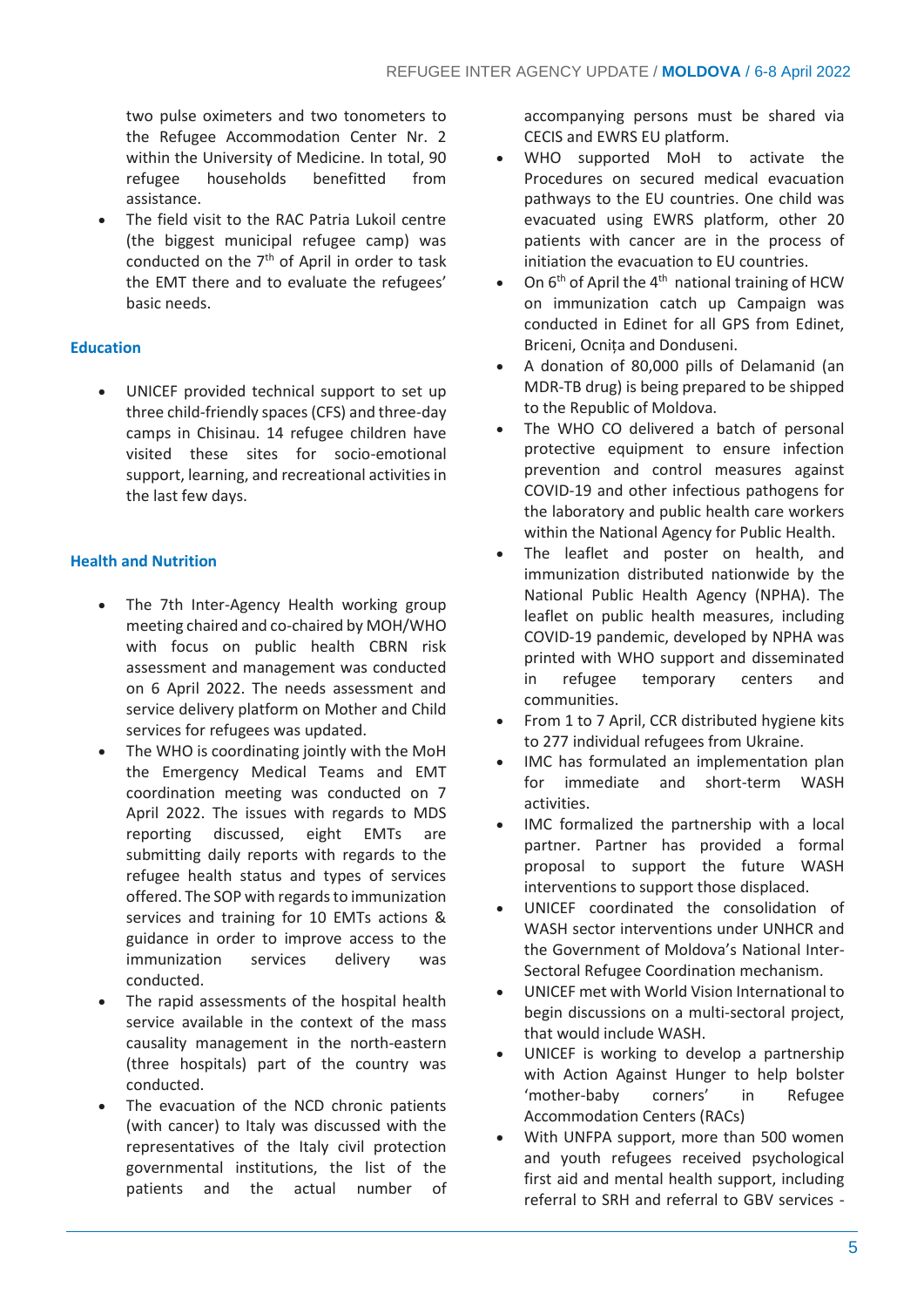two pulse oximeters and two tonometers to the Refugee Accommodation Center Nr. 2 within the University of Medicine. In total, 90 refugee households benefitted from assistance.

The field visit to the RAC Patria Lukoil centre (the biggest municipal refugee camp) was conducted on the 7<sup>th</sup> of April in order to task the EMT there and to evaluate the refugees' basic needs.

# **Education**

• UNICEF provided technical support to set up three child-friendly spaces (CFS) and three-day camps in Chisinau. 14 refugee children have visited these sites for socio-emotional support, learning, and recreational activities in the last few days.

# **Health and Nutrition**

- The 7th Inter-Agency Health working group meeting chaired and co-chaired by MOH/WHO with focus on public health CBRN risk assessment and management was conducted on 6 April 2022. The needs assessment and service delivery platform on Mother and Child services for refugees was updated.
- The WHO is coordinating jointly with the MoH the Emergency Medical Teams and EMT coordination meeting was conducted on 7 April 2022. The issues with regards to MDS reporting discussed, eight EMTs are submitting daily reports with regards to the refugee health status and types of services offered. The SOP with regards to immunization services and training for 10 EMTs actions & guidance in order to improve access to the immunization services delivery was conducted.
- The rapid assessments of the hospital health service available in the context of the mass causality management in the north-eastern (three hospitals) part of the country was conducted.
- The evacuation of the NCD chronic patients (with cancer) to Italy was discussed with the representatives of the Italy civil protection governmental institutions, the list of the patients and the actual number of

accompanying persons must be shared via CECIS and EWRS EU platform.

- WHO supported MoH to activate the Procedures on secured medical evacuation pathways to the EU countries. One child was evacuated using EWRS platform, other 20 patients with cancer are in the process of initiation the evacuation to EU countries.
- On  $6<sup>th</sup>$  of April the 4<sup>th</sup> national training of HCW on immunization catch up Campaign was conducted in Edinet for all GPS from Edinet, Briceni, Ocnița and Donduseni.
- A donation of 80,000 pills of Delamanid (an MDR-TB drug) is being prepared to be shipped to the Republic of Moldova.
- The WHO CO delivered a batch of personal protective equipment to ensure infection prevention and control measures against COVID-19 and other infectious pathogens for the laboratory and public health care workers within the National Agency for Public Health.
- The leaflet and poster on health, and immunization distributed nationwide by the National Public Health Agency (NPHA). The leaflet on public health measures, including COVID-19 pandemic, developed by NPHA was printed with WHO support and disseminated in refugee temporary centers and communities.
- From 1 to 7 April, CCR distributed hygiene kits to 277 individual refugees from Ukraine.
- IMC has formulated an implementation plan for immediate and short-term WASH activities.
- IMC formalized the partnership with a local partner. Partner has provided a formal proposal to support the future WASH interventions to support those displaced.
- UNICEF coordinated the consolidation of WASH sector interventions under UNHCR and the Government of Moldova's National Inter-Sectoral Refugee Coordination mechanism.
- UNICEF met with World Vision International to begin discussions on a multi-sectoral project, that would include WASH.
- UNICEF is working to develop a partnership with Action Against Hunger to help bolster 'mother-baby corners' in Refugee Accommodation Centers (RACs)
- With UNFPA support, more than 500 women and youth refugees received psychological first aid and mental health support, including referral to SRH and referral to GBV services -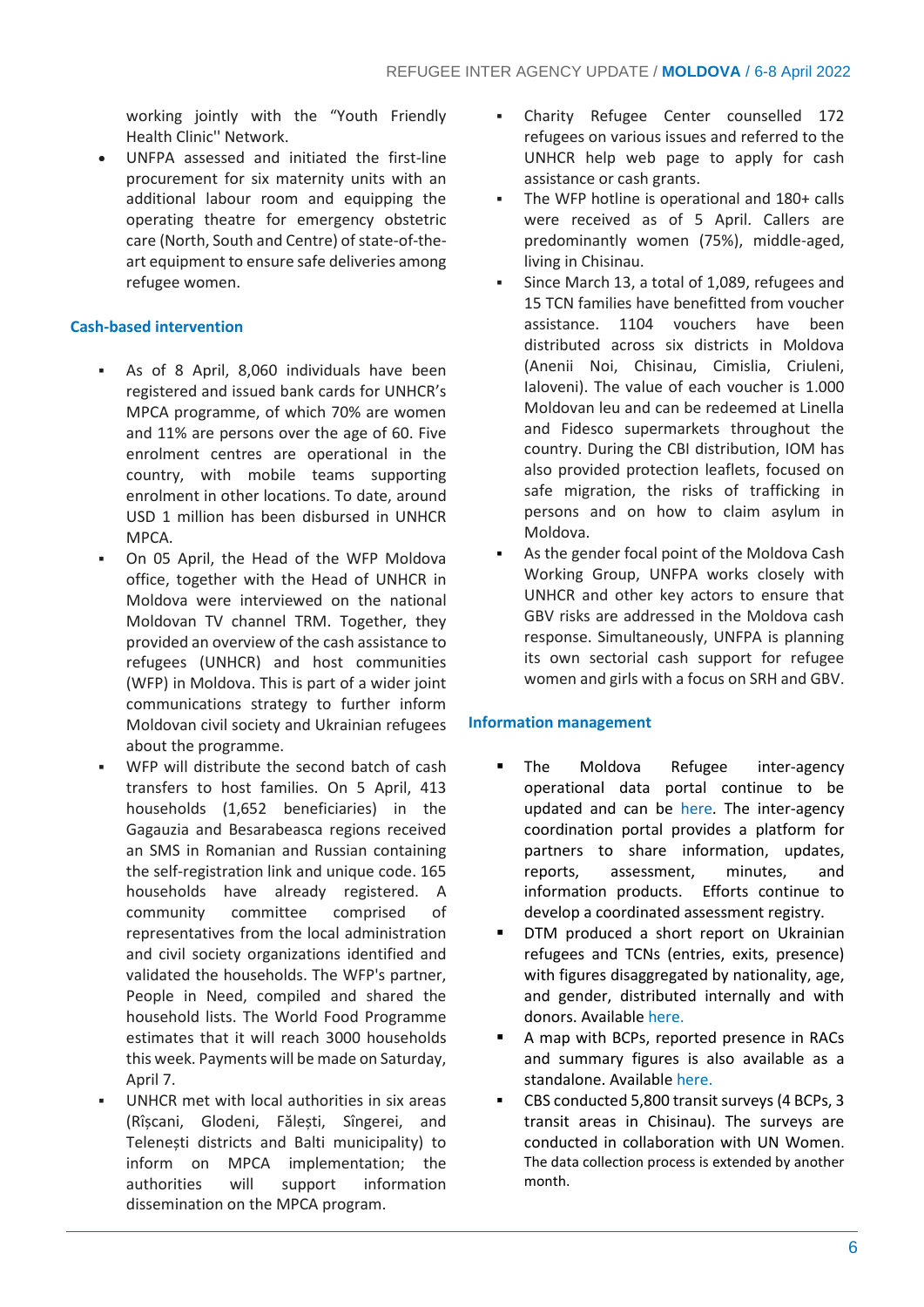working jointly with the "Youth Friendly Health Clinic'' Network.

• UNFPA assessed and initiated the first-line procurement for six maternity units with an additional labour room and equipping the operating theatre for emergency obstetric care (North, South and Centre) of state-of-theart equipment to ensure safe deliveries among refugee women.

## **Cash-based intervention**

- As of 8 April, 8,060 individuals have been registered and issued bank cards for UNHCR's MPCA programme, of which 70% are women and 11% are persons over the age of 60. Five enrolment centres are operational in the country, with mobile teams supporting enrolment in other locations. To date, around USD 1 million has been disbursed in UNHCR MPCA.
- On 05 April, the Head of the WFP Moldova office, together with the Head of UNHCR in Moldova [were interviewed](https://www.facebook.com/teleradiomoldova/videos/342790344549976/) on the national Moldovan TV channel TRM. Together, they provided an overview of the cash assistance to refugees (UNHCR) and host communities (WFP) in Moldova. This is part of a wider joint communications strategy to further inform Moldovan civil society and Ukrainian refugees about the programme.
- WFP will distribute the second batch of cash transfers to host families. On 5 April, 413 households (1,652 beneficiaries) in the Gagauzia and Besarabeasca regions received an SMS in Romanian and Russian containing the self-registration link and unique code. 165 households have already registered. A community committee comprised of representatives from the local administration and civil society organizations identified and validated the households. The WFP's partner, People in Need, compiled and shared the household lists. The World Food Programme estimates that it will reach 3000 households this week. Payments will be made on Saturday, April 7.
- UNHCR met with local authorities in six areas (Rîșcani, Glodeni, Fălești, Sîngerei, and Telenești districts and Balti municipality) to inform on MPCA implementation; the authorities will support information dissemination on the MPCA program.
- Charity Refugee Center counselled 172 refugees on various issues and referred to the UNHCR help web page to apply for cash assistance or cash grants.
- The WFP hotline is operational and 180+ calls were received as of 5 April. Callers are predominantly women (75%), middle-aged, living in Chisinau.
- Since March 13, a total of 1,089, refugees and 15 TCN families have benefitted from voucher assistance. 1104 vouchers have been distributed across six districts in Moldova (Anenii Noi, Chisinau, Cimislia, Criuleni, Ialoveni). The value of each voucher is 1.000 Moldovan leu and can be redeemed at Linella and Fidesco supermarkets throughout the country. During the CBI distribution, IOM has also provided protection leaflets, focused on safe migration, the risks of trafficking in persons and on how to claim asylum in Moldova.
- As the gender focal point of the Moldova Cash Working Group, UNFPA works closely with UNHCR and other key actors to ensure that GBV risks are addressed in the Moldova cash response. Simultaneously, UNFPA is planning its own sectorial cash support for refugee women and girls with a focus on SRH and GBV.

#### **Information management**

- The Moldova Refugee inter-agency operational data portal continue to be updated and can be [here.](https://data2.unhcr.org/en/situations/ukraine/location/10784) The inter-agency coordination portal provides a platform for partners to share information, updates, reports, assessment, minutes, and information products. Efforts continue to develop a coordinated assessment registry.
- DTM produced a short report on Ukrainian refugees and TCNs (entries, exits, presence) with figures disaggregated by nationality, age, and gender, distributed internally and with donors. Availabl[e here.](https://iomint.sharepoint.com/:b:/r/teams/MDA_SP/ALLFILES/MOLDOVA%20EMERGENCY%20RESPONSE/4.%20By%20Unit/DTM/00.Official%20stats/IOM_MDA_Displacement_Analysis_24.02_06.04.2022.pdf?csf=1&web=1&e=Dya6Pg)
- A map with BCPs, reported presence in RACs and summary figures is also available as a standalone. Available [here.](https://iomint.sharepoint.com/:b:/r/teams/MDA_SP/ALLFILES/MOLDOVA%20EMERGENCY%20RESPONSE/4.%20By%20Unit/DTM/00.Official%20stats/IOM_MDA_Displacement_MAP_24.02_06.04.2022.pdf?csf=1&web=1&e=owhavN)
- CBS conducted 5,800 transit surveys (4 BCPs, 3 transit areas in Chisinau). The surveys are conducted in collaboration with UN Women. The data collection process is extended by another month.